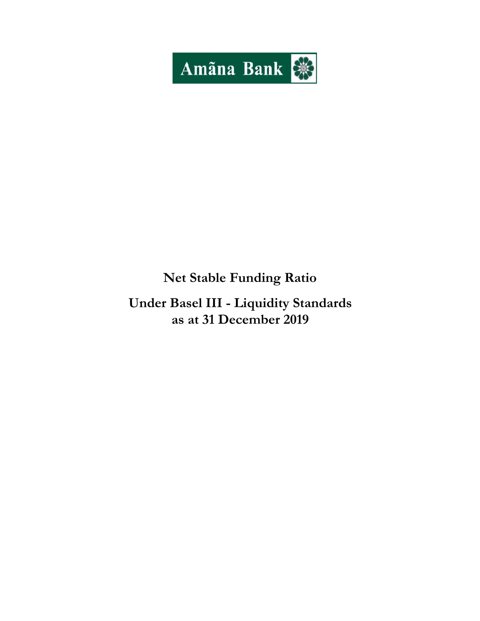

# **Net Stable Funding Ratio**

**Under Basel III - Liquidity Standards as at 31 December 2019**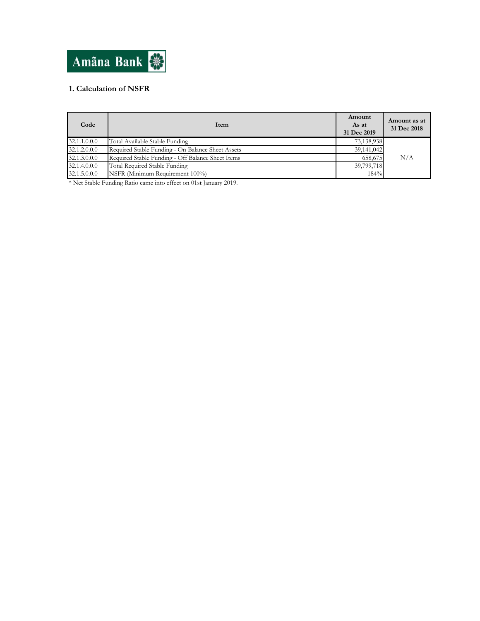

## **1. Calculation of NSFR**

| Code         | Item                                              | Amount<br>As at<br>31 Dec 2019 | Amount as at<br>31 Dec 2018 |
|--------------|---------------------------------------------------|--------------------------------|-----------------------------|
| 32.1.1.0.0.0 | Total Available Stable Funding                    | 73,138,938                     |                             |
| 32.1.2.0.0.0 | Required Stable Funding - On Balance Sheet Assets | 39,141,042                     |                             |
| 32.1.3.0.0.0 | Required Stable Funding - Off Balance Sheet Items | 658,675                        | N/A                         |
| 32.1.4.0.0.0 | Total Required Stable Funding                     | 39,799,718                     |                             |
| 32.1.5.0.0.0 | NSFR (Minimum Requirement 100%)                   | 184%                           |                             |

\* Net Stable Funding Ratio came into effect on 01st January 2019.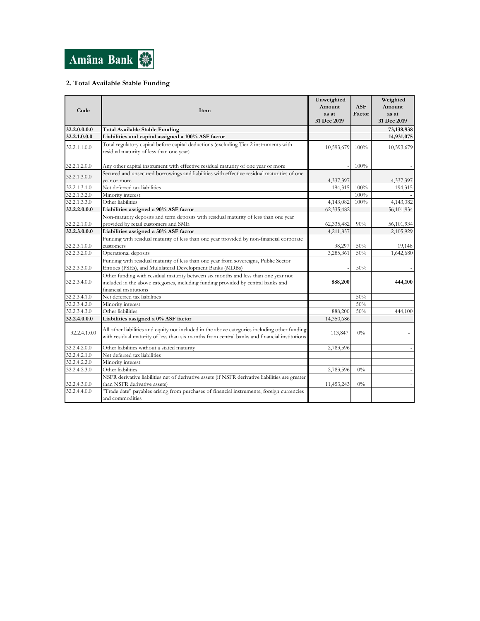

## **2. Total Available Stable Funding**

| Code         | Item                                                                                                                                                                                              | Unweighted<br>Amount<br>as at<br>31 Dec 2019 | <b>ASF</b><br>Factor | Weighted<br>Amount<br>as at<br>31 Dec 2019 |
|--------------|---------------------------------------------------------------------------------------------------------------------------------------------------------------------------------------------------|----------------------------------------------|----------------------|--------------------------------------------|
| 32.2.0.0.0.0 | <b>Total Available Stable Funding</b>                                                                                                                                                             |                                              |                      | 73,138,938                                 |
| 32.2.1.0.0.0 | Liabilities and capital assigned a 100% ASF factor                                                                                                                                                |                                              |                      | 14,931,075                                 |
| 32.2.1.1.0.0 | Total regulatory capital before capital deductions (excluding Tier 2 instruments with<br>residual maturity of less than one year)                                                                 | 10,593,679                                   | 100%                 | 10,593,679                                 |
| 32.2.1.2.0.0 | Any other capital instrument with effective residual maturity of one year or more                                                                                                                 |                                              | 100%                 |                                            |
| 32.2.1.3.0.0 | Secured and unsecured borrowings and liabilities with effective residual maturities of one<br>vear or more                                                                                        | 4,337,397                                    |                      | 4,337,397                                  |
| 32.2.1.3.1.0 | Net deferred tax liabilities                                                                                                                                                                      | 194,315                                      | 100%                 | 194,315                                    |
| 32.2.1.3.2.0 | Minority interest                                                                                                                                                                                 |                                              | 100%                 |                                            |
| 32.2.1.3.3.0 | Other liabilities                                                                                                                                                                                 | 4,143,082                                    | 100%                 | 4,143,082                                  |
| 32.2.2.0.0.0 | Liabilities assigned a 90% ASF factor                                                                                                                                                             | 62,335,482                                   |                      | 56,101,934                                 |
| 32.2.2.1.0.0 | Non-maturity deposits and term deposits with residual maturity of less than one year<br>provided by retail customers and SME                                                                      | 62,335,482                                   | 90%                  | 56,101,934                                 |
| 32.2.3.0.0.0 | Liabilities assigned a 50% ASF factor                                                                                                                                                             | 4,211,857                                    |                      | 2,105,929                                  |
| 32.2.3.1.0.0 | Funding with residual maturity of less than one year provided by non-financial corporate<br>customers                                                                                             | 38,297                                       | 50%                  | 19,148                                     |
| 32.2.3.2.0.0 | Operational deposits                                                                                                                                                                              | 3,285,361                                    | 50%                  | 1,642,680                                  |
| 32.2.3.3.0.0 | Funding with residual maturity of less than one year from sovereigns, Public Sector<br>Entities (PSEs), and Multilateral Development Banks (MDBs)                                                 |                                              | 50%                  |                                            |
| 32.2.3.4.0.0 | Other funding with residual maturity between six months and less than one year not<br>included in the above categories, including funding provided by central banks and<br>financial institutions | 888,200                                      |                      | 444,100                                    |
| 32.2.3.4.1.0 | Net deferred tax liabilities                                                                                                                                                                      |                                              | 50%                  |                                            |
| 32.2.3.4.2.0 | Minority interest                                                                                                                                                                                 |                                              | 50%                  |                                            |
| 32.2.3.4.3.0 | Other liabilities                                                                                                                                                                                 | 888,200                                      | 50%                  | 444,100                                    |
| 32.2.4.0.0.0 | Liabilities assigned a 0% ASF factor                                                                                                                                                              | 14,350,686                                   |                      |                                            |
| 32.2.4.1.0.0 | All other liabilities and equity not included in the above categories including other funding<br>with residual maturity of less than six months from central banks and financial institutions     | 113,847                                      | $0\%$                |                                            |
| 32.2.4.2.0.0 | Other liabilities without a stated maturity                                                                                                                                                       | 2,783,596                                    |                      |                                            |
| 32.2.4.2.1.0 | Net deferred tax liabilities                                                                                                                                                                      |                                              |                      |                                            |
| 32.2.4.2.2.0 | Minority interest                                                                                                                                                                                 |                                              |                      |                                            |
| 32.2.4.2.3.0 | Other liabilities                                                                                                                                                                                 | 2,783,596                                    | 0%                   |                                            |
| 32.2.4.3.0.0 | NSFR derivative liabilities net of derivative assets (if NSFR derivative liabilities are greater<br>than NSFR derivative assets)                                                                  | 11,453,243                                   | $0\%$                |                                            |
| 32.2.4.4.0.0 | "Trade date" payables arising from purchases of financial instruments, foreign currencies<br>and commodities                                                                                      |                                              |                      |                                            |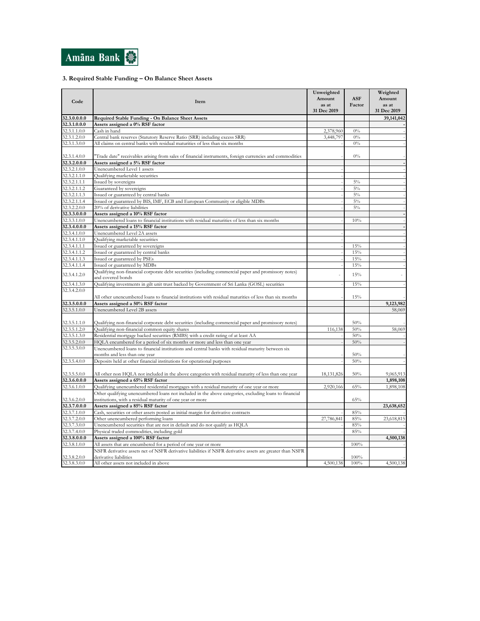

### **3. Required Stable Funding – On Balance Sheet Assets**

| Code                         | Item                                                                                                                      | Unweighted<br>Amount<br>as at<br>31 Dec 2019 | <b>ASF</b><br>Factor | Weighted<br>Amount<br>as at<br>31 Dec 2019 |
|------------------------------|---------------------------------------------------------------------------------------------------------------------------|----------------------------------------------|----------------------|--------------------------------------------|
| 32.3.0.0.0.0                 | Required Stable Funding - On Balance Sheet Assets                                                                         |                                              |                      | 39,141,042                                 |
| 32.3.1.0.0.0                 | Assets assigned a 0% RSF factor                                                                                           |                                              |                      |                                            |
| 32.3.1.1.0.0                 | Cash in hand                                                                                                              | 2,378,960                                    | $0\%$                |                                            |
| 32.3.1.2.0.0                 | Central bank reserves (Statutory Reserve Ratio (SRR) including excess SRR)                                                | 3,448,797                                    | $0\%$                |                                            |
| 32.3.1.3.0.0                 | All claims on central banks with residual maturities of less than six months                                              |                                              | $0\%$                |                                            |
|                              |                                                                                                                           |                                              |                      |                                            |
| 32.3.1.4.0.0                 | Trade date" receivables arising from sales of financial instruments, foreign currencies and commodities                   |                                              | $0\%$                |                                            |
| 32.3.2.0.0.0                 | Assets assigned a 5% RSF factor                                                                                           |                                              |                      |                                            |
| 32.3.2.1.0.0                 | Unencumbered Level 1 assets                                                                                               |                                              |                      |                                            |
| 32.3.2.1.1.0                 | Qualifying marketable securities                                                                                          |                                              |                      |                                            |
| 32.3.2.1.1.1                 | Issued by sovereigns                                                                                                      |                                              | $5\%$                |                                            |
| 32.3.2.1.1.2                 | Guaranteed by sovereigns                                                                                                  |                                              | $5\%$                |                                            |
| 32.3.2.1.1.3                 | Issued or guaranteed by central banks                                                                                     |                                              | 5%                   |                                            |
| 32.3.2.1.1.4                 | Issued or guaranteed by BIS, IMF, ECB and European Community or eligible MDBs                                             |                                              | $5\%$                |                                            |
| 32.3.2.2.0.0                 | 20% of derivative liabilities                                                                                             |                                              | $5\%$                |                                            |
| 32.3.3.0.0.0                 | Assets assigned a 10% RSF factor                                                                                          |                                              |                      |                                            |
| 32.3.3.1.0.0                 | Unencumbered loans to financial institutions with residual maturities of less than six months                             |                                              | 10%                  |                                            |
| 32.3.4.0.0.0                 | Assets assigned a 15% RSF factor                                                                                          |                                              |                      |                                            |
| 32.3.4.1.0.0                 | Unencumbered Level 2A assets                                                                                              |                                              |                      |                                            |
| 32.3.4.1.1.0                 | Qualifying marketable securities                                                                                          |                                              |                      |                                            |
| 32.3.4.1.1.1                 | Issued or guaranteed by sovereigns                                                                                        |                                              | 15%                  |                                            |
| 32.3.4.1.1.2                 | Issued or guaranteed by central banks                                                                                     |                                              | 15%                  |                                            |
| 32.3.4.1.1.3                 | Issued or guaranteed by PSEs                                                                                              |                                              | 15%                  |                                            |
| 32.3.4.1.1.4                 | Issued or guaranteed by MDBs                                                                                              |                                              | 15%                  |                                            |
|                              | Qualifying non-financial corporate debt securities (including commercial paper and promissory notes)                      |                                              |                      |                                            |
| 32.3.4.1.2.0                 | and covered bonds                                                                                                         |                                              | 15%                  |                                            |
| 32.3.4.1.3.0                 | Qualifying investments in gilt unit trust backed by Government of Sri Lanka (GOSL) securities                             |                                              | 15%                  |                                            |
| 32.3.4.2.0.0                 |                                                                                                                           |                                              |                      |                                            |
|                              | All other unencumbered loans to financial institutions with residual maturities of less than six months                   |                                              | 15%                  |                                            |
| 32.3.5.0.0.0                 | Assets assigned a 50% RSF factor                                                                                          |                                              |                      | 9,123,982                                  |
| 32.3.5.1.0.0                 | Unencumbered Level 2B assets                                                                                              |                                              |                      | 58,069                                     |
|                              |                                                                                                                           |                                              |                      |                                            |
| 32.3.5.1.1.0                 | Qualifying non-financial corporate debt securities (including commercial paper and promissory notes)                      |                                              | 50%                  |                                            |
| 32.3.5.1.2.0                 | Qualifying non-financial common equity shares                                                                             | 116,138                                      | 50%                  | 58,069                                     |
| 32.3.5.1.3.0                 | Residential mortgage backed securities (RMBS) with a credit rating of at least AA                                         |                                              | 50%                  |                                            |
| 32.3.5.2.0.0                 | HQLA encumbered for a period of six months or more and less than one year                                                 |                                              | 50%                  |                                            |
| 32.3.5.3.0.0                 | Unencumbered loans to financial institutions and central banks with residual maturity between six                         |                                              |                      |                                            |
|                              | months and less than one year                                                                                             |                                              | 50%                  |                                            |
| 32.3.5.4.0.0                 | Deposits held at other financial institutions for operational purposes                                                    |                                              | 50%                  |                                            |
|                              |                                                                                                                           |                                              |                      |                                            |
| 32.3.5.5.0.0                 | All other non HQLA not included in the above categories with residual maturity of less than one year                      | 18, 131, 826                                 | 50%                  | 9,065,913                                  |
| 32.3.6.0.0.0                 | Assets assigned a 65% RSF factor                                                                                          |                                              |                      | 1,898,108                                  |
| 32.3.6.1.0.0                 | Qualifying unencumbered residential mortgages with a residual maturity of one year or more                                | 2,920,166                                    | 65%                  | 1,898,108                                  |
|                              | Other qualifying unencumbered loans not included in the above categories, excluding loans to financial                    |                                              |                      |                                            |
| 32.3.6.2.0.0                 | institutions, with a residual maturity of one year or more                                                                |                                              | 65%                  |                                            |
| 32.3.7.0.0.0                 | Assets assigned a 85% RSF factor                                                                                          |                                              |                      | 23,638,652                                 |
| 32.3.7.1.0.0                 |                                                                                                                           |                                              |                      |                                            |
| 32.3.7.2.0.0                 | Cash, securities or other assets posted as initial margin for derivative contracts<br>Other unencumbered performing loans | 27,786,841                                   | 85%<br>85%           | 23,618,815                                 |
|                              |                                                                                                                           |                                              |                      |                                            |
| 32.3.7.3.0.0                 | Unencumbered securities that are not in default and do not qualify as HQLA                                                |                                              | 85%                  |                                            |
| 32.3.7.4.0.0                 | Physical traded commodities, including gold                                                                               |                                              | 85%                  |                                            |
| 32.3.8.0.0.0                 | Assets assigned a 100% RSF factor                                                                                         |                                              |                      | 4,500,138                                  |
| 32.3.8.1.0.0                 | All assets that are encumbered for a period of one year or more                                                           |                                              | 100%                 |                                            |
|                              | NSFR derivative assets net of NSFR derivative liabilities if NSFR derivative assets are greater than NSFR                 |                                              |                      |                                            |
| 32.3.8.2.0.0<br>32.3.8.3.0.0 | derivative liabilities<br>All other assets not included in above                                                          | 4,500,138                                    | 100%<br>100%         | 4,500,138                                  |
|                              |                                                                                                                           |                                              |                      |                                            |